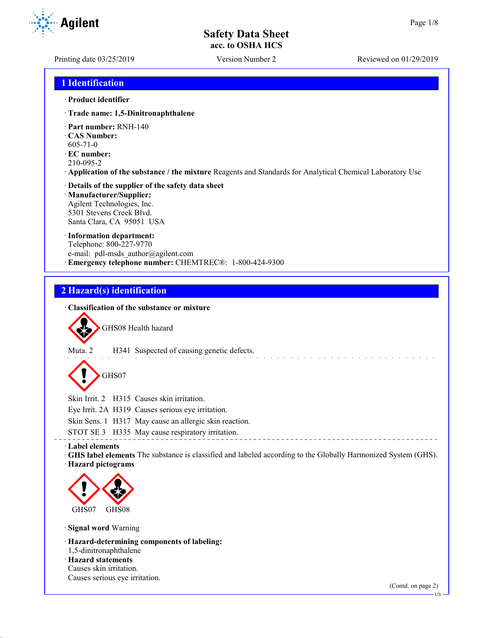**Agilent** 

Printing date 03/25/2019 Version Number 2 Reviewed on 01/29/2019

# **1 Identification**

#### · **Product identifier**

- · **Trade name: 1,5-Dinitronaphthalene**
- · **Part number:** RNH-140
- · **CAS Number:**
- 605-71-0
- · **EC number:**
- 210-095-2
- · **Application of the substance / the mixture** Reagents and Standards for Analytical Chemical Laboratory Use

#### · **Details of the supplier of the safety data sheet** · **Manufacturer/Supplier:** Agilent Technologies, Inc. 5301 Stevens Creek Blvd. Santa Clara, CA 95051 USA

#### · **Information department:**

Telephone: 800-227-9770 e-mail: pdl-msds author@agilent.com · **Emergency telephone number:** CHEMTREC®: 1-800-424-9300

# **2 Hazard(s) identification**

## · **Classification of the substance or mixture**



GHS08 Health hazard



Muta. 2 H341 Suspected of causing genetic defects.

GHS07

Skin Irrit. 2 H315 Causes skin irritation.

Eye Irrit. 2A H319 Causes serious eye irritation.

Skin Sens. 1 H317 May cause an allergic skin reaction.

STOT SE 3 H335 May cause respiratory irritation.

## · **Label elements**

· **GHS label elements** The substance is classified and labeled according to the Globally Harmonized System (GHS). · **Hazard pictograms**



· **Signal word** Warning

· **Hazard-determining components of labeling:**

- 1,5-dinitronaphthalene · **Hazard statements**
- Causes skin irritation.

Causes serious eye irritation.

(Contd. on page 2)

**HS**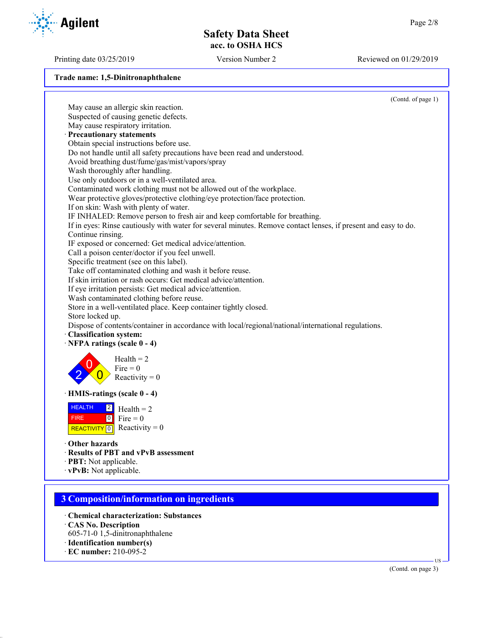Printing date 03/25/2019 Version Number 2 Reviewed on 01/29/2019

**Trade name: 1,5-Dinitronaphthalene**



- 605-71-0 1,5-dinitronaphthalene
- · **Identification number(s)**
- · **EC number:** 210-095-2

(Contd. on page 3)

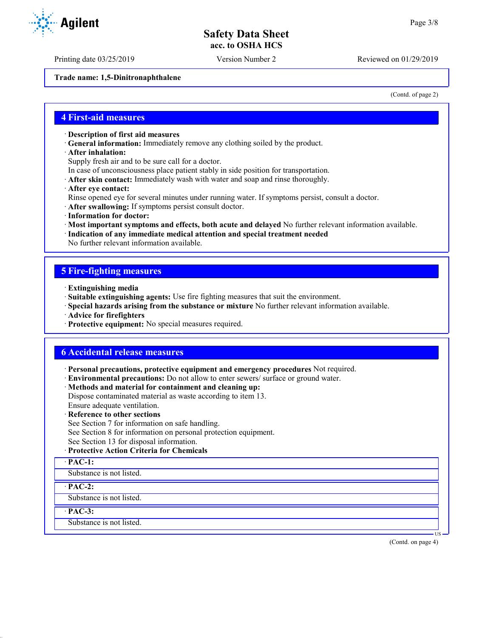Printing date 03/25/2019 Version Number 2 Reviewed on 01/29/2019

**Trade name: 1,5-Dinitronaphthalene**

(Contd. of page 2)

## **4 First-aid measures**

- · **Description of first aid measures**
- · **General information:** Immediately remove any clothing soiled by the product.
- · **After inhalation:**

Supply fresh air and to be sure call for a doctor.

- In case of unconsciousness place patient stably in side position for transportation.
- · **After skin contact:** Immediately wash with water and soap and rinse thoroughly.
- · **After eye contact:**
- Rinse opened eye for several minutes under running water. If symptoms persist, consult a doctor.
- · **After swallowing:** If symptoms persist consult doctor.
- · **Information for doctor:**
- · **Most important symptoms and effects, both acute and delayed** No further relevant information available.
- · **Indication of any immediate medical attention and special treatment needed**
- No further relevant information available.

## **5 Fire-fighting measures**

- · **Extinguishing media**
- · **Suitable extinguishing agents:** Use fire fighting measures that suit the environment.
- · **Special hazards arising from the substance or mixture** No further relevant information available.
- · **Advice for firefighters**
- · **Protective equipment:** No special measures required.

## **6 Accidental release measures**

- · **Personal precautions, protective equipment and emergency procedures** Not required.
- · **Environmental precautions:** Do not allow to enter sewers/ surface or ground water.
- · **Methods and material for containment and cleaning up:**

Dispose contaminated material as waste according to item 13.

Ensure adequate ventilation.

- · **Reference to other sections**
- See Section 7 for information on safe handling.
- See Section 8 for information on personal protection equipment.
- See Section 13 for disposal information.
- · **Protective Action Criteria for Chemicals**
- · **PAC-1:**

Substance is not listed.

#### · **PAC-2:**

Substance is not listed.

#### · **PAC-3:**

Substance is not listed.



(Contd. on page 4)

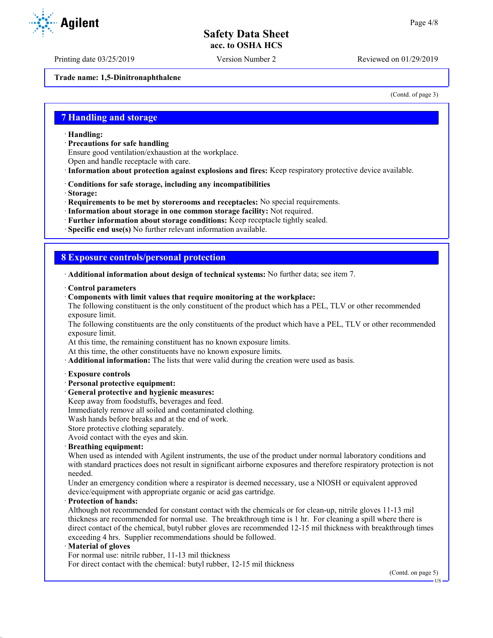Printing date 03/25/2019 Version Number 2 Reviewed on 01/29/2019

**Trade name: 1,5-Dinitronaphthalene**

(Contd. of page 3)

## **7 Handling and storage**

- · **Handling:**
- · **Precautions for safe handling**
- Ensure good ventilation/exhaustion at the workplace.
- Open and handle receptacle with care.
- · **Information about protection against explosions and fires:** Keep respiratory protective device available.
- · **Conditions for safe storage, including any incompatibilities**
- · **Storage:**
- · **Requirements to be met by storerooms and receptacles:** No special requirements.
- · **Information about storage in one common storage facility:** Not required.
- · **Further information about storage conditions:** Keep receptacle tightly sealed.
- · **Specific end use(s)** No further relevant information available.

## **8 Exposure controls/personal protection**

· **Additional information about design of technical systems:** No further data; see item 7.

- · **Control parameters**
- · **Components with limit values that require monitoring at the workplace:**

The following constituent is the only constituent of the product which has a PEL, TLV or other recommended exposure limit.

The following constituents are the only constituents of the product which have a PEL, TLV or other recommended exposure limit.

At this time, the remaining constituent has no known exposure limits.

At this time, the other constituents have no known exposure limits.

- · **Additional information:** The lists that were valid during the creation were used as basis.
- · **Exposure controls**
- · **Personal protective equipment:**
- · **General protective and hygienic measures:**
- Keep away from foodstuffs, beverages and feed.
- Immediately remove all soiled and contaminated clothing.
- Wash hands before breaks and at the end of work.
- Store protective clothing separately.

Avoid contact with the eyes and skin.

#### · **Breathing equipment:**

When used as intended with Agilent instruments, the use of the product under normal laboratory conditions and with standard practices does not result in significant airborne exposures and therefore respiratory protection is not needed.

Under an emergency condition where a respirator is deemed necessary, use a NIOSH or equivalent approved device/equipment with appropriate organic or acid gas cartridge.

#### · **Protection of hands:**

Although not recommended for constant contact with the chemicals or for clean-up, nitrile gloves 11-13 mil thickness are recommended for normal use. The breakthrough time is 1 hr. For cleaning a spill where there is direct contact of the chemical, butyl rubber gloves are recommended 12-15 mil thickness with breakthrough times exceeding 4 hrs. Supplier recommendations should be followed.

#### · **Material of gloves**

For normal use: nitrile rubber, 11-13 mil thickness

For direct contact with the chemical: butyl rubber, 12-15 mil thickness

(Contd. on page 5)



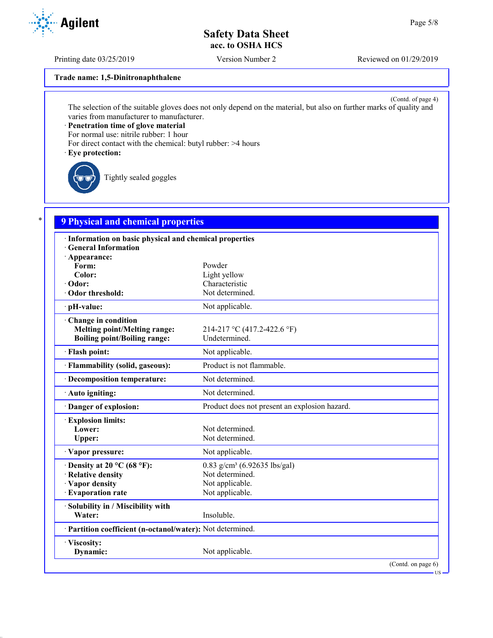Printing date 03/25/2019 Version Number 2 Reviewed on 01/29/2019

**Trade name: 1,5-Dinitronaphthalene**

(Contd. of page 4) The selection of the suitable gloves does not only depend on the material, but also on further marks of quality and varies from manufacturer to manufacturer.

· **Penetration time of glove material**

For normal use: nitrile rubber: 1 hour

For direct contact with the chemical: butyl rubber: >4 hours

· **Eye protection:**

Tightly sealed goggles

# \* **9 Physical and chemical properties**

| · Information on basic physical and chemical properties<br><b>General Information</b> |                                               |  |
|---------------------------------------------------------------------------------------|-----------------------------------------------|--|
| $\cdot$ Appearance:                                                                   |                                               |  |
| Form:                                                                                 | Powder                                        |  |
| Color:                                                                                | Light yellow                                  |  |
| · Odor:                                                                               | Characteristic                                |  |
| · Odor threshold:                                                                     | Not determined.                               |  |
| · pH-value:                                                                           | Not applicable.                               |  |
| Change in condition                                                                   |                                               |  |
| <b>Melting point/Melting range:</b>                                                   | 214-217 °C (417.2-422.6 °F)                   |  |
| <b>Boiling point/Boiling range:</b>                                                   | Undetermined.                                 |  |
| · Flash point:                                                                        | Not applicable.                               |  |
| · Flammability (solid, gaseous):                                                      | Product is not flammable.                     |  |
| · Decomposition temperature:                                                          | Not determined.                               |  |
| · Auto igniting:                                                                      | Not determined.                               |  |
| · Danger of explosion:                                                                | Product does not present an explosion hazard. |  |
| <b>Explosion limits:</b>                                                              |                                               |  |
| Lower:                                                                                | Not determined.                               |  |
| Upper:                                                                                | Not determined.                               |  |
| · Vapor pressure:                                                                     | Not applicable.                               |  |
| $\cdot$ Density at 20 °C (68 °F):                                                     | $0.83$ g/cm <sup>3</sup> (6.92635 lbs/gal)    |  |
| · Relative density                                                                    | Not determined.                               |  |
| · Vapor density                                                                       | Not applicable.                               |  |
| · Evaporation rate                                                                    | Not applicable.                               |  |
| · Solubility in / Miscibility with                                                    |                                               |  |
| Water:                                                                                | Insoluble.                                    |  |
| · Partition coefficient (n-octanol/water): Not determined.                            |                                               |  |
| · Viscosity:                                                                          |                                               |  |
| Dynamic:                                                                              | Not applicable.                               |  |
|                                                                                       | (Contd. on page 6)                            |  |

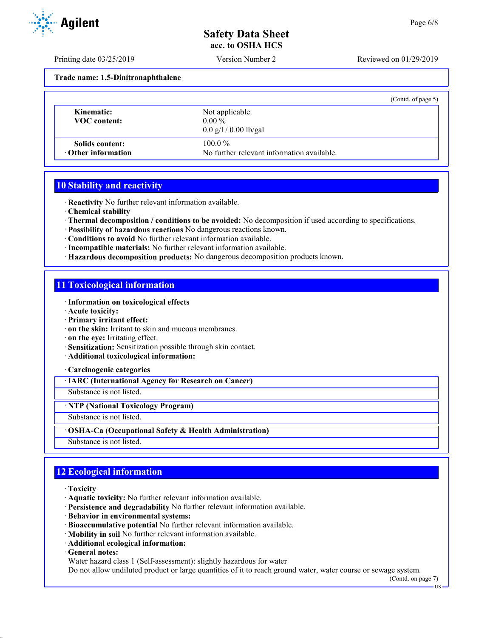Printing date 03/25/2019 Version Number 2 Reviewed on 01/29/2019

**Trade name: 1,5-Dinitronaphthalene**

|                                              | (Contd. of page 5)                                                  |
|----------------------------------------------|---------------------------------------------------------------------|
| Kinematic:<br>VOC content:                   | Not applicable.<br>$0.00\%$<br>$0.0 \frac{g}{1} / 0.00 \frac{g}{g}$ |
| Solids content:<br>$\cdot$ Other information | $100.0\%$<br>No further relevant information available.             |

## **10 Stability and reactivity**

· **Reactivity** No further relevant information available.

- · **Chemical stability**
- · **Thermal decomposition / conditions to be avoided:** No decomposition if used according to specifications.
- · **Possibility of hazardous reactions** No dangerous reactions known.
- · **Conditions to avoid** No further relevant information available.
- · **Incompatible materials:** No further relevant information available.
- · **Hazardous decomposition products:** No dangerous decomposition products known.

# **11 Toxicological information**

- · **Information on toxicological effects**
- · **Acute toxicity:**
- · **Primary irritant effect:**
- · **on the skin:** Irritant to skin and mucous membranes.
- · **on the eye:** Irritating effect.
- · **Sensitization:** Sensitization possible through skin contact.
- · **Additional toxicological information:**

· **Carcinogenic categories**

· **IARC (International Agency for Research on Cancer)**

Substance is not listed.

#### · **NTP (National Toxicology Program)**

Substance is not listed.

#### · **OSHA-Ca (Occupational Safety & Health Administration)**

Substance is not listed.

# **12 Ecological information**

- · **Toxicity**
- · **Aquatic toxicity:** No further relevant information available.
- · **Persistence and degradability** No further relevant information available.
- · **Behavior in environmental systems:**
- · **Bioaccumulative potential** No further relevant information available.
- · **Mobility in soil** No further relevant information available.
- · **Additional ecological information:**
- · **General notes:**

Water hazard class 1 (Self-assessment): slightly hazardous for water

Do not allow undiluted product or large quantities of it to reach ground water, water course or sewage system.

(Contd. on page 7)

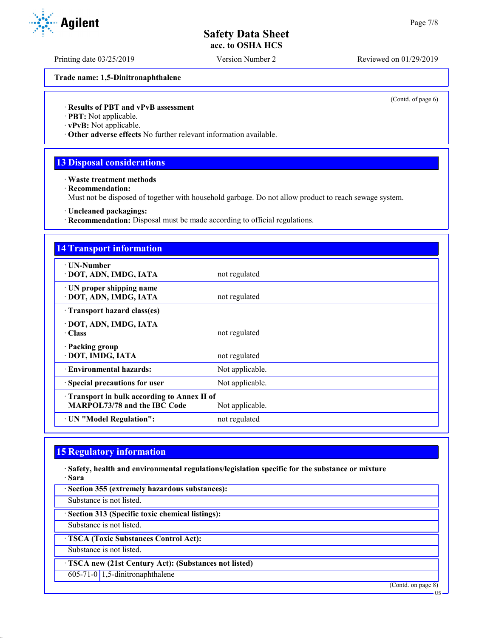Printing date 03/25/2019 Version Number 2 Reviewed on 01/29/2019

**Trade name: 1,5-Dinitronaphthalene**

(Contd. of page 6)

### · **Results of PBT and vPvB assessment**

· **PBT:** Not applicable.

· **vPvB:** Not applicable.

· **Other adverse effects** No further relevant information available.

# **13 Disposal considerations**

· **Waste treatment methods**

· **Recommendation:**

Must not be disposed of together with household garbage. Do not allow product to reach sewage system.

· **Uncleaned packagings:**

· **Recommendation:** Disposal must be made according to official regulations.

| <b>14 Transport information</b>                                                                      |                 |  |
|------------------------------------------------------------------------------------------------------|-----------------|--|
| ∙ UN-Number<br>· DOT, ADN, IMDG, IATA                                                                | not regulated   |  |
| · UN proper shipping name<br>· DOT, ADN, IMDG, IATA                                                  | not regulated   |  |
| Transport hazard class(es)                                                                           |                 |  |
| · DOT, ADN, IMDG, IATA<br>$\cdot$ Class                                                              | not regulated   |  |
| · Packing group<br>· DOT, IMDG, IATA                                                                 | not regulated   |  |
| · Environmental hazards:                                                                             | Not applicable. |  |
| · Special precautions for user                                                                       | Not applicable. |  |
| Transport in bulk according to Annex II of<br><b>MARPOL73/78 and the IBC Code</b><br>Not applicable. |                 |  |
| · UN "Model Regulation":                                                                             | not regulated   |  |

# **15 Regulatory information**

· **Safety, health and environmental regulations/legislation specific for the substance or mixture** · **Sara**

· **Section 355 (extremely hazardous substances):** Substance is not listed. · **Section 313 (Specific toxic chemical listings):** Substance is not listed. · **TSCA (Toxic Substances Control Act):** Substance is not listed. · **TSCA new (21st Century Act): (Substances not listed)** 605-71-0 1,5-dinitronaphthalene (Contd. on page 8) US